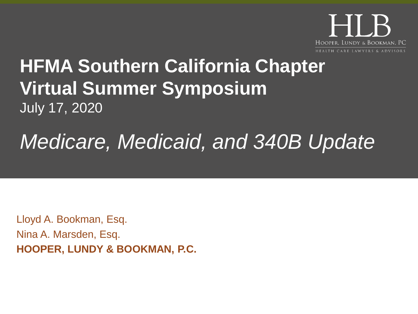

# **HFMA Southern California Chapter Virtual Summer Symposium** July 17, 2020

# *Medicare, Medicaid, and 340B Update*

Lloyd A. Bookman, Esq. Nina A. Marsden, Esq. **HOOPER, LUNDY & BOOKMAN, P.C.**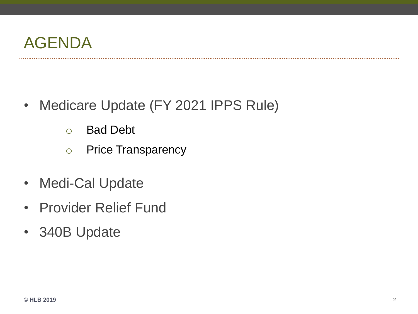

- Medicare Update (FY 2021 IPPS Rule)
	- o Bad Debt
	- o Price Transparency
- Medi-Cal Update
- Provider Relief Fund
- 340B Update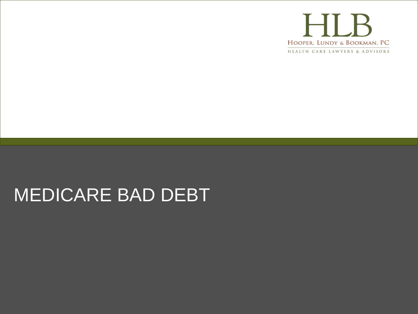

# MEDICARE BAD DEBT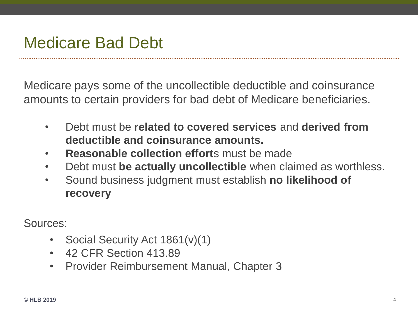#### Medicare Bad Debt

Medicare pays some of the uncollectible deductible and coinsurance amounts to certain providers for bad debt of Medicare beneficiaries.

- Debt must be **related to covered services** and **derived from deductible and coinsurance amounts.**
- **Reasonable collection effort**s must be made
- Debt must **be actually uncollectible** when claimed as worthless.
- Sound business judgment must establish **no likelihood of recovery**

Sources:

- Social Security Act 1861(v)(1)
- 42 CFR Section 413 89
- Provider Reimbursement Manual, Chapter 3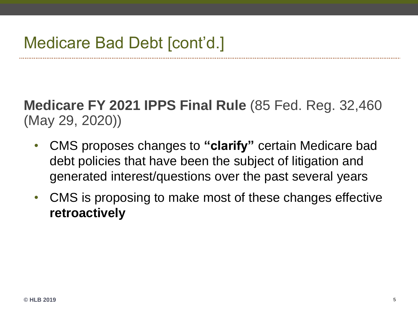**Medicare FY 2021 IPPS Final Rule** (85 Fed. Reg. 32,460 (May 29, 2020))

- CMS proposes changes to **"clarify"** certain Medicare bad debt policies that have been the subject of litigation and generated interest/questions over the past several years
- CMS is proposing to make most of these changes effective **retroactively**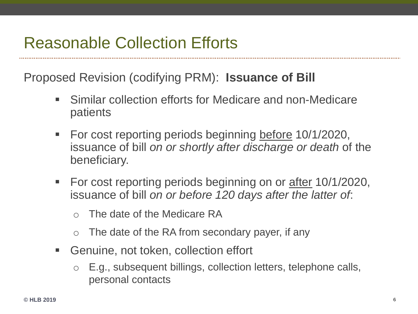#### Reasonable Collection Efforts

Proposed Revision (codifying PRM): **Issuance of Bill** 

- Similar collection efforts for Medicare and non-Medicare patients
- For cost reporting periods beginning before 10/1/2020, issuance of bill *on or shortly after discharge or death* of the beneficiary.
- For cost reporting periods beginning on or after 10/1/2020, issuance of bill *on or before 120 days after the latter of*:
	- o The date of the Medicare RA
	- $\circ$  The date of the RA from secondary payer, if any
- Genuine, not token, collection effort
	- o E.g., subsequent billings, collection letters, telephone calls, personal contacts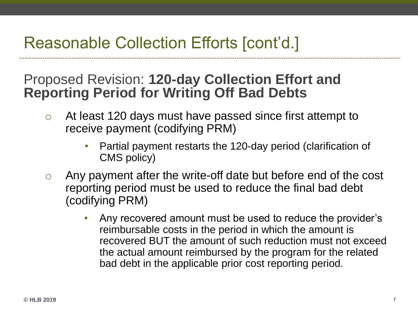### Reasonable Collection Efforts [cont'd.]

#### Proposed Revision: **120-day Collection Effort and Reporting Period for Writing Off Bad Debts**

- o At least 120 days must have passed since first attempt to receive payment (codifying PRM)
	- Partial payment restarts the 120-day period (clarification of CMS policy)
- o Any payment after the write-off date but before end of the cost reporting period must be used to reduce the final bad debt (codifying PRM)
	- Any recovered amount must be used to reduce the provider's reimbursable costs in the period in which the amount is recovered BUT the amount of such reduction must not exceed the actual amount reimbursed by the program for the related bad debt in the applicable prior cost reporting period.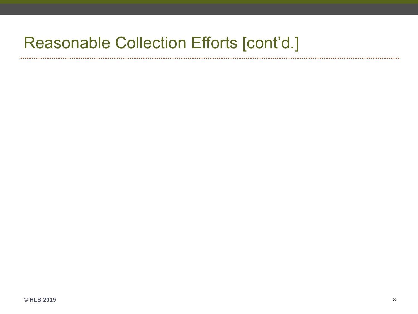#### Reasonable Collection Efforts [cont'd.]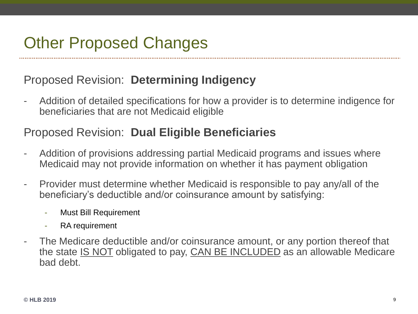## Other Proposed Changes

#### Proposed Revision: **Determining Indigency**

- Addition of detailed specifications for how a provider is to determine indigence for beneficiaries that are not Medicaid eligible

#### Proposed Revision: **Dual Eligible Beneficiaries**

- Addition of provisions addressing partial Medicaid programs and issues where Medicaid may not provide information on whether it has payment obligation
- Provider must determine whether Medicaid is responsible to pay any/all of the beneficiary's deductible and/or coinsurance amount by satisfying:
	- Must Bill Requirement
	- RA requirement
- The Medicare deductible and/or coinsurance amount, or any portion thereof that the state **IS NOT** obligated to pay, **CAN BE INCLUDED** as an allowable Medicare bad debt.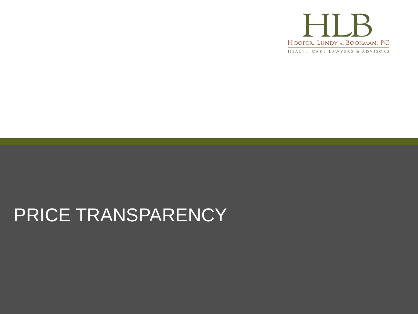

# PRICE TRANSPARENCY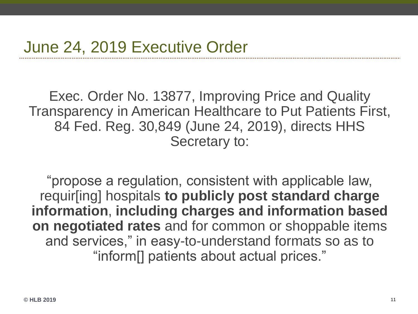Exec. Order No. 13877, Improving Price and Quality Transparency in American Healthcare to Put Patients First, 84 Fed. Reg. 30,849 (June 24, 2019), directs HHS Secretary to:

"propose a regulation, consistent with applicable law, requir[ing] hospitals **to publicly post standard charge information**, **including charges and information based on negotiated rates** and for common or shoppable items and services," in easy-to-understand formats so as to "inform[] patients about actual prices."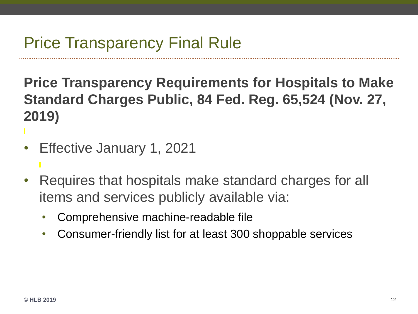# Price Transparency Final Rule

**Price Transparency Requirements for Hospitals to Make Standard Charges Public, 84 Fed. Reg. 65,524 (Nov. 27, 2019)**

- Effective January 1, 2021
- Requires that hospitals make standard charges for all items and services publicly available via:
	- Comprehensive machine-readable file
	- Consumer-friendly list for at least 300 shoppable services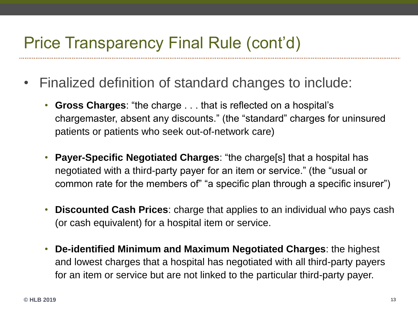#### Price Transparency Final Rule (cont'd)

- Finalized definition of standard changes to include:
	- **Gross Charges**: "the charge . . . that is reflected on a hospital's chargemaster, absent any discounts." (the "standard" charges for uninsured patients or patients who seek out-of-network care)
	- **Payer-Specific Negotiated Charges**: "the charge[s] that a hospital has negotiated with a third-party payer for an item or service." (the "usual or common rate for the members of" "a specific plan through a specific insurer")
	- **Discounted Cash Prices**: charge that applies to an individual who pays cash (or cash equivalent) for a hospital item or service.
	- **De-identified Minimum and Maximum Negotiated Charges**: the highest and lowest charges that a hospital has negotiated with all third-party payers for an item or service but are not linked to the particular third-party payer.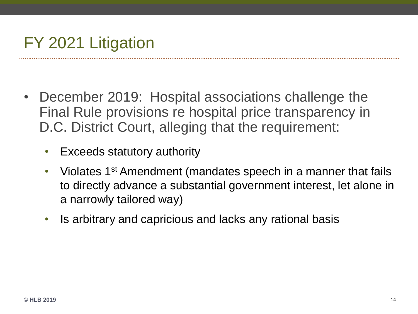# FY 2021 Litigation

- December 2019: Hospital associations challenge the Final Rule provisions re hospital price transparency in D.C. District Court, alleging that the requirement:
	- Exceeds statutory authority
	- Violates 1<sup>st</sup> Amendment (mandates speech in a manner that fails to directly advance a substantial government interest, let alone in a narrowly tailored way)
	- Is arbitrary and capricious and lacks any rational basis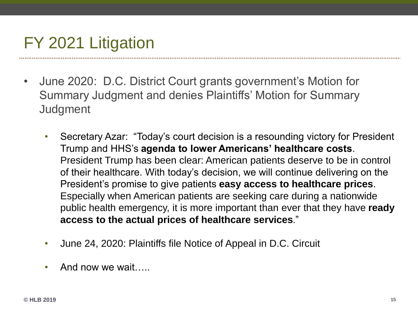# FY 2021 Litigation

- June 2020: D.C. District Court grants government's Motion for Summary Judgment and denies Plaintiffs' Motion for Summary **Judgment** 
	- Secretary Azar: "Today's court decision is a resounding victory for President Trump and HHS's **agenda to lower Americans' healthcare costs**. President Trump has been clear: American patients deserve to be in control of their healthcare. With today's decision, we will continue delivering on the President's promise to give patients **easy access to healthcare prices**. Especially when American patients are seeking care during a nationwide public health emergency, it is more important than ever that they have **ready access to the actual prices of healthcare services**."
	- June 24, 2020: Plaintiffs file Notice of Appeal in D.C. Circuit
	- And now we wait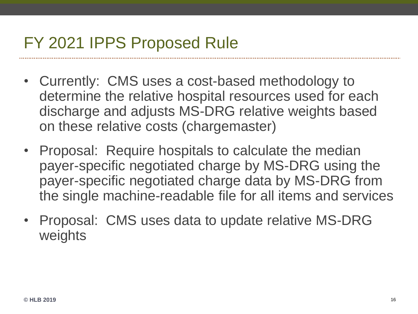### FY 2021 IPPS Proposed Rule

- Currently: CMS uses a cost-based methodology to determine the relative hospital resources used for each discharge and adjusts MS-DRG relative weights based on these relative costs (chargemaster)
- Proposal: Require hospitals to calculate the median payer-specific negotiated charge by MS-DRG using the payer-specific negotiated charge data by MS-DRG from the single machine-readable file for all items and services
- Proposal: CMS uses data to update relative MS-DRG weights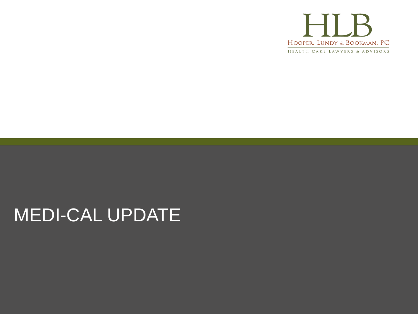

# MEDI-CAL UPDATE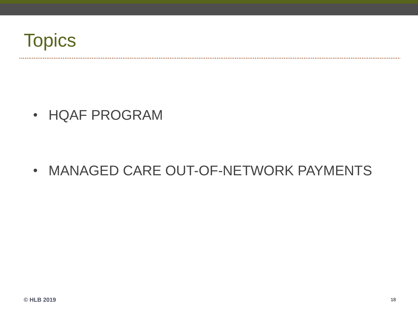

...................................

• HQAF PROGRAM

• MANAGED CARE OUT-OF-NETWORK PAYMENTS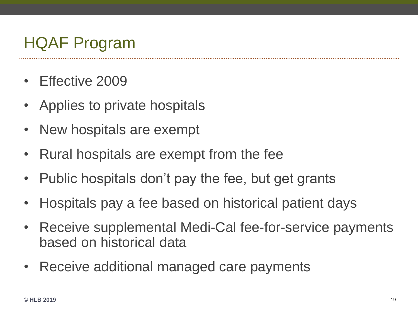# HQAF Program

- Effective 2009
- Applies to private hospitals
- New hospitals are exempt
- Rural hospitals are exempt from the fee
- Public hospitals don't pay the fee, but get grants
- Hospitals pay a fee based on historical patient days
- Receive supplemental Medi-Cal fee-for-service payments based on historical data
- Receive additional managed care payments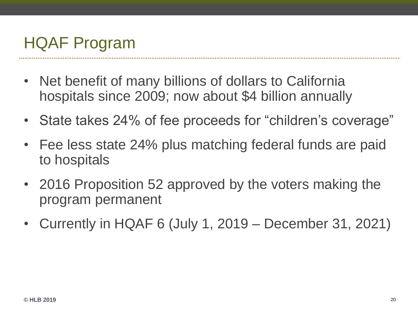# HQAF Program

- Net benefit of many billions of dollars to California hospitals since 2009; now about \$4 billion annually
- State takes 24% of fee proceeds for "children's coverage"
- Fee less state 24% plus matching federal funds are paid to hospitals
- 2016 Proposition 52 approved by the voters making the program permanent
- Currently in HQAF 6 (July 1, 2019 December 31, 2021)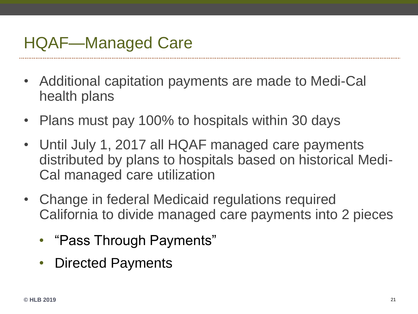### HQAF—Managed Care

- Additional capitation payments are made to Medi-Cal health plans
- Plans must pay 100% to hospitals within 30 days
- Until July 1, 2017 all HQAF managed care payments distributed by plans to hospitals based on historical Medi-Cal managed care utilization
- Change in federal Medicaid regulations required California to divide managed care payments into 2 pieces
	- "Pass Through Payments"
	- Directed Payments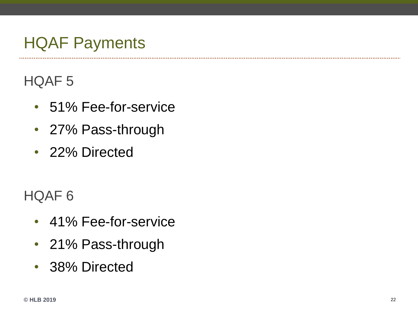# HQAF Payments

#### HQAF 5

- 51% Fee-for-service
- 27% Pass-through
- 22% Directed

#### HQAF 6

- 41% Fee-for-service
- 21% Pass-through
- 38% Directed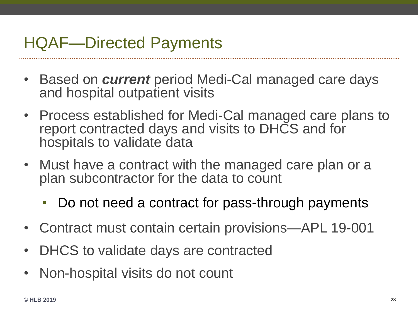### HQAF—Directed Payments

- Based on *current* period Medi-Cal managed care days and hospital outpatient visits
- Process established for Medi-Cal managed care plans to report contracted days and visits to DHCS and for hospitals to validate data
- Must have a contract with the managed care plan or a plan subcontractor for the data to count
	- Do not need a contract for pass-through payments
- Contract must contain certain provisions—APL 19-001
- DHCS to validate days are contracted
- Non-hospital visits do not count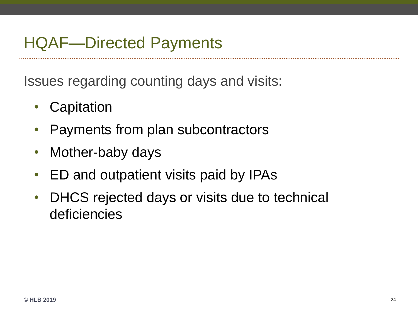### HQAF—Directed Payments

Issues regarding counting days and visits:

- Capitation
- Payments from plan subcontractors
- Mother-baby days
- ED and outpatient visits paid by IPAs
- DHCS rejected days or visits due to technical deficiencies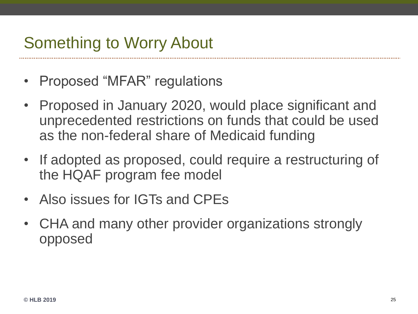### Something to Worry About

- Proposed "MFAR" regulations
- Proposed in January 2020, would place significant and unprecedented restrictions on funds that could be used as the non-federal share of Medicaid funding
- If adopted as proposed, could require a restructuring of the HQAF program fee model
- Also issues for IGTs and CPEs
- CHA and many other provider organizations strongly opposed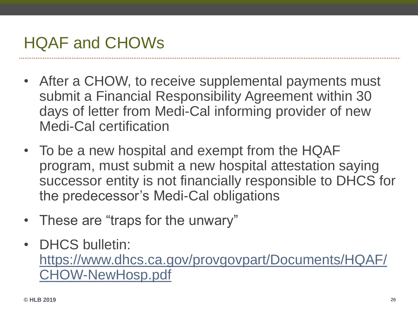## HQAF and CHOWs

- After a CHOW, to receive supplemental payments must submit a Financial Responsibility Agreement within 30 days of letter from Medi-Cal informing provider of new Medi-Cal certification
- To be a new hospital and exempt from the HQAF program, must submit a new hospital attestation saying successor entity is not financially responsible to DHCS for the predecessor's Medi-Cal obligations
- These are "traps for the unwary"
- DHCS bulletin: [https://www.dhcs.ca.gov/provgovpart/Documents/HQAF/](https://www.dhcs.ca.gov/provgovpart/Documents/HQAF/CHOW-NewHosp.pdf) CHOW-NewHosp.pdf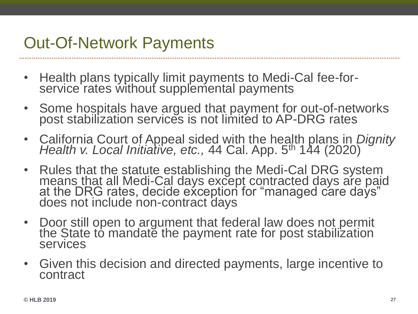### Out-Of-Network Payments

- Health plans typically limit payments to Medi-Cal fee-forservice rates without supplemental payments
- Some hospitals have argued that payment for out-of-networks post stabilization services is not limited to AP-DRG rates
- California Court of Appeal sided with the health plans in *Dignity*  Health v. Local Initiative, etc., 44 Cal. App. 5<sup>th</sup> 144 (2020)
- Rules that the statute establishing the Medi-Cal DRG system means that all Medi-Cal days except contracted days are paid at the DRG rates, decide exception for "managed care days" does not include non-contract days
- Door still open to argument that federal law does not permit the State to mandate the payment rate for post stabilization services
- Given this decision and directed payments, large incentive to contract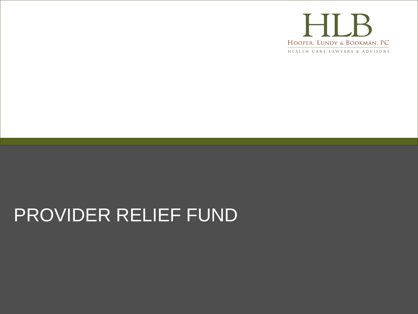

# PROVIDER RELIEF FUND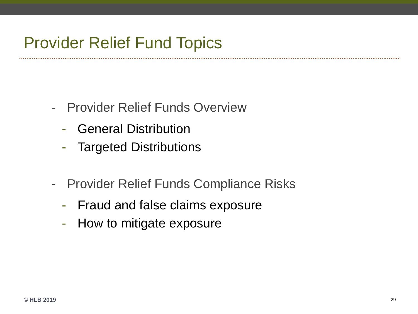#### Provider Relief Fund Topics

- Provider Relief Funds Overview
	- General Distribution
	- Targeted Distributions
- Provider Relief Funds Compliance Risks
	- Fraud and false claims exposure
	- How to mitigate exposure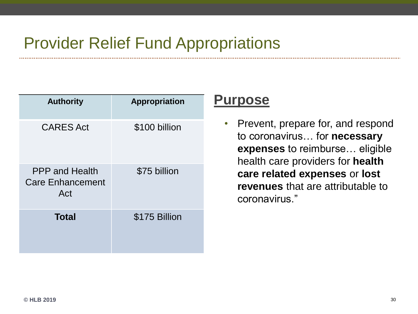## Provider Relief Fund Appropriations

| <b>Authority</b>                                        | <b>Appropriation</b> |
|---------------------------------------------------------|----------------------|
| <b>CARES Act</b>                                        | \$100 billion        |
| <b>PPP</b> and Health<br><b>Care Enhancement</b><br>Act | \$75 billion         |
| <b>Total</b>                                            | \$175 Billion        |

#### **Purpose**

• Prevent, prepare for, and respond to coronavirus… for **necessary expenses** to reimburse… eligible health care providers for **health care related expenses** or **lost revenues** that are attributable to coronavirus."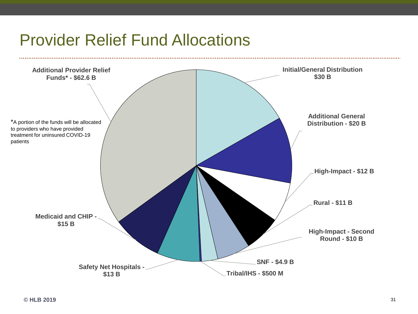#### Provider Relief Fund Allocations

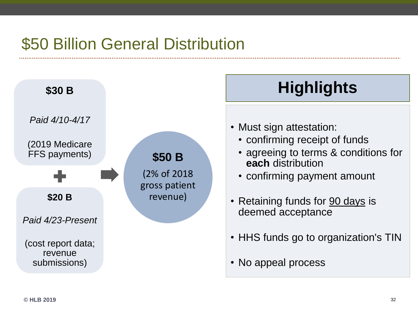# \$50 Billion General Distribution



# **Highlights**

- Must sign attestation:
	- confirming receipt of funds
	- agreeing to terms & conditions for **each** distribution
	- confirming payment amount
- Retaining funds for 90 days is deemed acceptance
- HHS funds go to organization's TIN
- No appeal process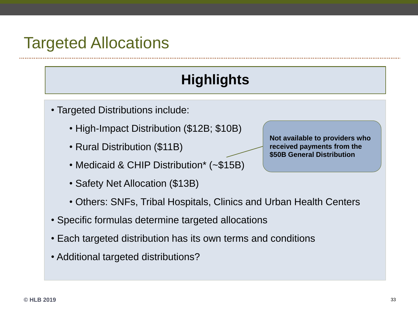#### Targeted Allocations

#### **Highlights**

- Targeted Distributions include:
	- High-Impact Distribution (\$12B; \$10B)
	- Rural Distribution (\$11B)
	- Medicaid & CHIP Distribution\* (~\$15B)
	- Safety Net Allocation (\$13B)
	- Others: SNFs, Tribal Hospitals, Clinics and Urban Health Centers
- Specific formulas determine targeted allocations
- Each targeted distribution has its own terms and conditions
- Additional targeted distributions?

**Not available to providers who received payments from the \$50B General Distribution**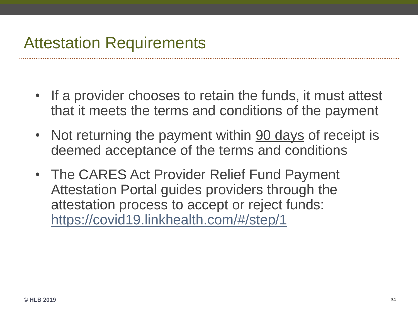# Attestation Requirements

- If a provider chooses to retain the funds, it must attest that it meets the terms and conditions of the payment
- Not returning the payment within 90 days of receipt is deemed acceptance of the terms and conditions
- The CARES Act Provider Relief Fund Payment Attestation Portal guides providers through the attestation process to accept or reject funds: <https://covid19.linkhealth.com/#/step/1>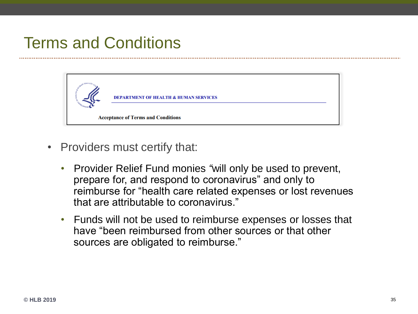# Terms and Conditions



- Providers must certify that:
	- Provider Relief Fund monies *"*will only be used to prevent, prepare for, and respond to coronavirus" and only to reimburse for "health care related expenses or lost revenues that are attributable to coronavirus."
	- Funds will not be used to reimburse expenses or losses that have "been reimbursed from other sources or that other sources are obligated to reimburse."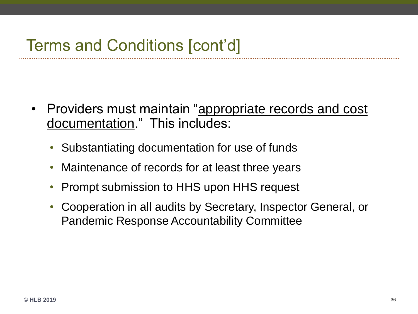## Terms and Conditions [cont'd]

- Providers must maintain "appropriate records and cost documentation." This includes:
	- Substantiating documentation for use of funds
	- Maintenance of records for at least three years
	- Prompt submission to HHS upon HHS request
	- Cooperation in all audits by Secretary, Inspector General, or Pandemic Response Accountability Committee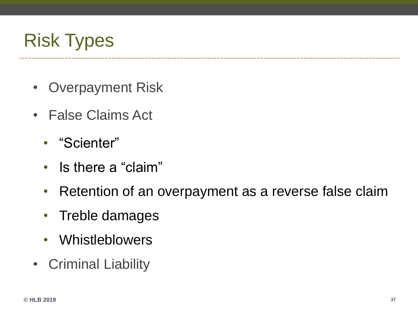

- Overpayment Risk
- False Claims Act
	- "Scienter"
	- Is there a "claim"
	- Retention of an overpayment as a reverse false claim
	- Treble damages
	- Whistleblowers
- Criminal Liability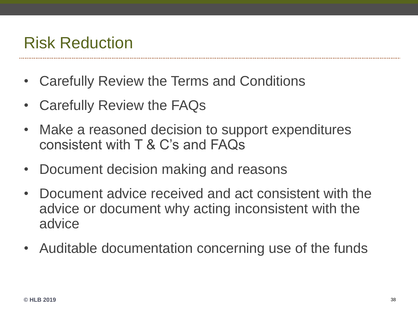#### Risk Reduction

- Carefully Review the Terms and Conditions
- Carefully Review the FAQs
- Make a reasoned decision to support expenditures consistent with T & C's and FAQs
- Document decision making and reasons
- Document advice received and act consistent with the advice or document why acting inconsistent with the advice
- Auditable documentation concerning use of the funds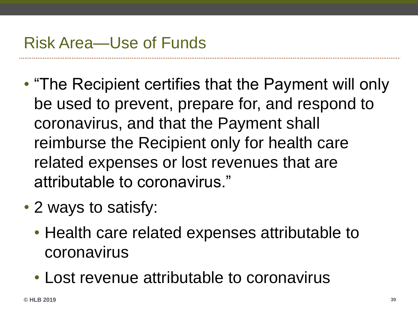#### Risk Area—Use of Funds

- "The Recipient certifies that the Payment will only be used to prevent, prepare for, and respond to coronavirus, and that the Payment shall reimburse the Recipient only for health care related expenses or lost revenues that are attributable to coronavirus."
- 2 ways to satisfy:
	- Health care related expenses attributable to coronavirus
	- Lost revenue attributable to coronavirus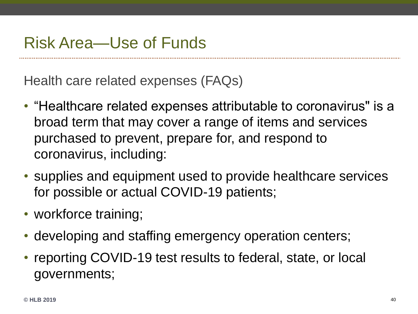#### Risk Area—Use of Funds

Health care related expenses (FAQs)

- "Healthcare related expenses attributable to coronavirus" is a broad term that may cover a range of items and services purchased to prevent, prepare for, and respond to coronavirus, including:
- supplies and equipment used to provide healthcare services for possible or actual COVID-19 patients;
- workforce training;
- developing and staffing emergency operation centers;
- reporting COVID-19 test results to federal, state, or local governments;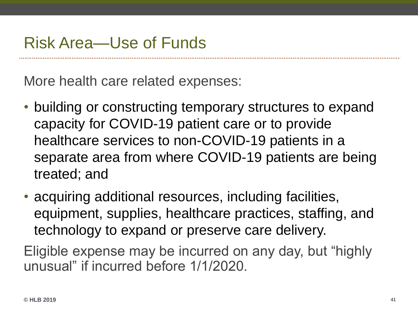More health care related expenses:

- building or constructing temporary structures to expand capacity for COVID-19 patient care or to provide healthcare services to non-COVID-19 patients in a separate area from where COVID-19 patients are being treated; and
- acquiring additional resources, including facilities, equipment, supplies, healthcare practices, staffing, and technology to expand or preserve care delivery.

Eligible expense may be incurred on any day, but "highly unusual" if incurred before 1/1/2020.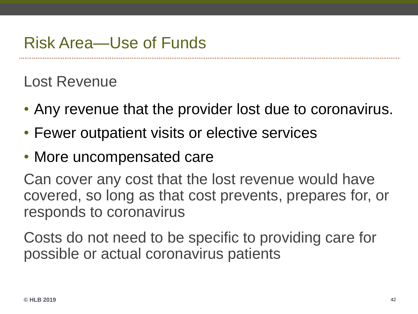### Risk Area—Use of Funds

#### Lost Revenue

- Any revenue that the provider lost due to coronavirus.
- Fewer outpatient visits or elective services
- More uncompensated care

Can cover any cost that the lost revenue would have covered, so long as that cost prevents, prepares for, or responds to coronavirus

Costs do not need to be specific to providing care for possible or actual coronavirus patients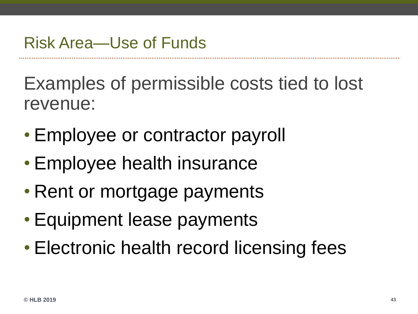Examples of permissible costs tied to lost revenue:

- Employee or contractor payroll
- Employee health insurance
- Rent or mortgage payments
- Equipment lease payments
- Electronic health record licensing fees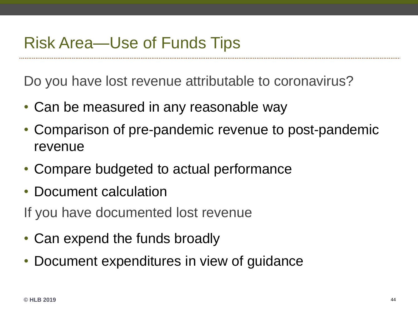### Risk Area—Use of Funds Tips

Do you have lost revenue attributable to coronavirus?

- Can be measured in any reasonable way
- Comparison of pre-pandemic revenue to post-pandemic revenue
- Compare budgeted to actual performance
- Document calculation
- If you have documented lost revenue
- Can expend the funds broadly
- Document expenditures in view of guidance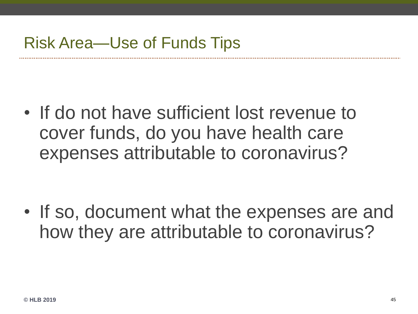• If do not have sufficient lost revenue to cover funds, do you have health care expenses attributable to coronavirus?

• If so, document what the expenses are and how they are attributable to coronavirus?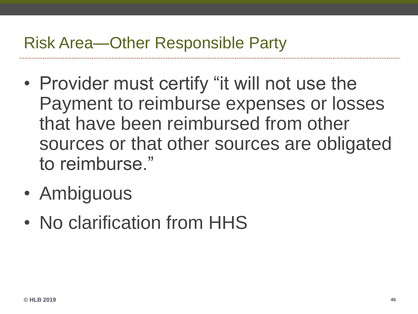#### Risk Area—Other Responsible Party

- Provider must certify "it will not use the Payment to reimburse expenses or losses that have been reimbursed from other sources or that other sources are obligated to reimburse."
- Ambiguous
- No clarification from HHS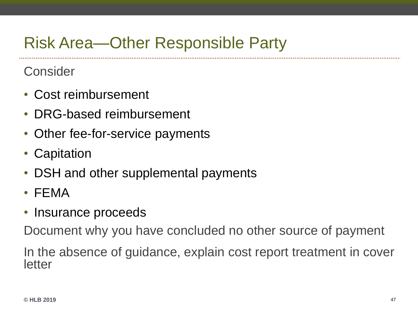# Risk Area—Other Responsible Party

**Consider** 

- Cost reimbursement
- DRG-based reimbursement
- Other fee-for-service payments
- Capitation
- DSH and other supplemental payments
- FEMA
- Insurance proceeds

Document why you have concluded no other source of payment

In the absence of guidance, explain cost report treatment in cover letter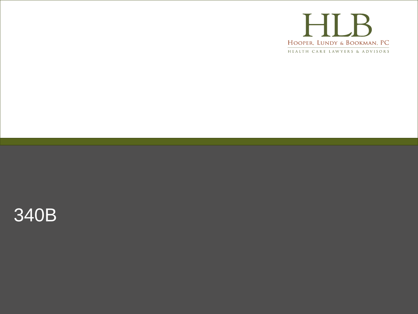

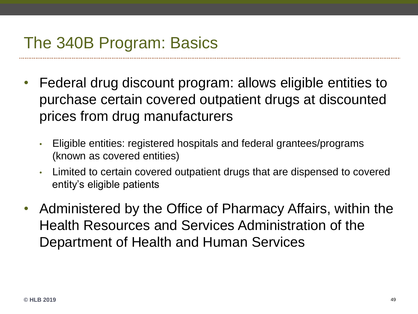# The 340B Program: Basics

- Federal drug discount program: allows eligible entities to purchase certain covered outpatient drugs at discounted prices from drug manufacturers
	- Eligible entities: registered hospitals and federal grantees/programs (known as covered entities)
	- Limited to certain covered outpatient drugs that are dispensed to covered entity's eligible patients
- Administered by the Office of Pharmacy Affairs, within the Health Resources and Services Administration of the Department of Health and Human Services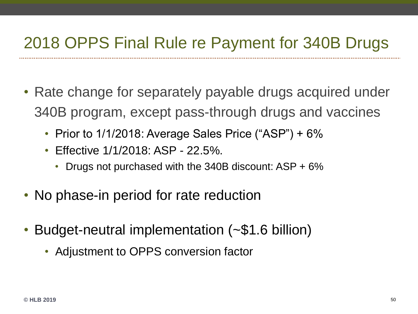#### 2018 OPPS Final Rule re Payment for 340B Drugs

- Rate change for separately payable drugs acquired under 340B program, except pass-through drugs and vaccines
	- Prior to 1/1/2018: Average Sales Price ("ASP") + 6%
	- Effective 1/1/2018: ASP 22.5%.
		- Drugs not purchased with the 340B discount: ASP + 6%
- No phase-in period for rate reduction
- Budget-neutral implementation (~\$1.6 billion)
	- Adjustment to OPPS conversion factor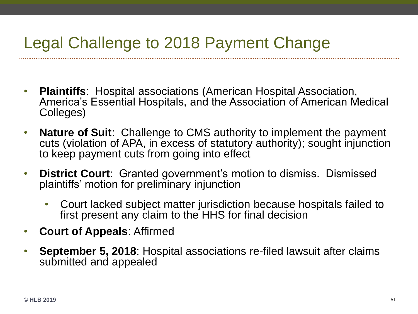## Legal Challenge to 2018 Payment Change

- **Plaintiffs**: Hospital associations (American Hospital Association, America's Essential Hospitals, and the Association of American Medical Colleges)
- **Nature of Suit**: Challenge to CMS authority to implement the payment cuts (violation of APA, in excess of statutory authority); sought injunction to keep payment cuts from going into effect
- **District Court**: Granted government's motion to dismiss. Dismissed plaintiffs' motion for preliminary injunction
	- Court lacked subject matter jurisdiction because hospitals failed to first present any claim to the HHS for final decision
- **Court of Appeals**: Affirmed
- **September 5, 2018**: Hospital associations re-filed lawsuit after claims submitted and appealed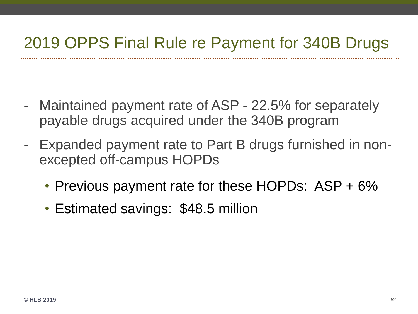#### 2019 OPPS Final Rule re Payment for 340B Drugs

- Maintained payment rate of ASP 22.5% for separately payable drugs acquired under the 340B program
- Expanded payment rate to Part B drugs furnished in nonexcepted off-campus HOPDs
	- Previous payment rate for these HOPDs: ASP + 6%
	- Estimated savings: \$48.5 million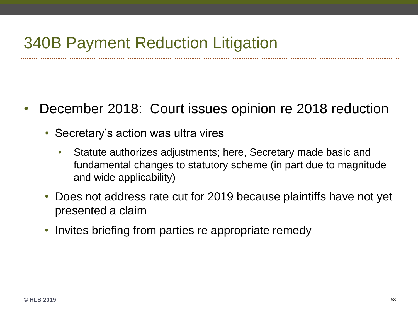#### 340B Payment Reduction Litigation

- December 2018: Court issues opinion re 2018 reduction
	- Secretary's action was ultra vires
		- Statute authorizes adjustments; here, Secretary made basic and fundamental changes to statutory scheme (in part due to magnitude and wide applicability)
	- Does not address rate cut for 2019 because plaintiffs have not yet presented a claim
	- Invites briefing from parties re appropriate remedy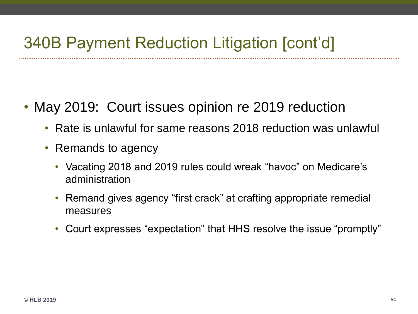### 340B Payment Reduction Litigation [cont'd]

- May 2019: Court issues opinion re 2019 reduction
	- Rate is unlawful for same reasons 2018 reduction was unlawful
	- Remands to agency
		- Vacating 2018 and 2019 rules could wreak "havoc" on Medicare's administration
		- Remand gives agency "first crack" at crafting appropriate remedial measures
		- Court expresses "expectation" that HHS resolve the issue "promptly"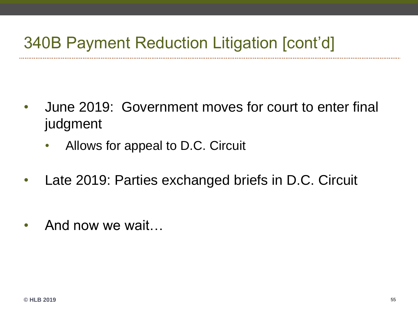### 340B Payment Reduction Litigation [cont'd]

- June 2019: Government moves for court to enter final judgment
	- Allows for appeal to D.C. Circuit
- Late 2019: Parties exchanged briefs in D.C. Circuit
- And now we wait...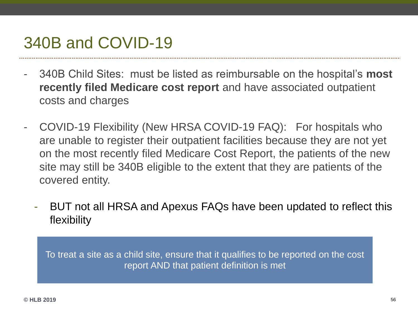#### 340B and COVID-19

- 340B Child Sites: must be listed as reimbursable on the hospital's **most recently filed Medicare cost report** and have associated outpatient costs and charges
- COVID-19 Flexibility (New HRSA COVID-19 FAQ): For hospitals who are unable to register their outpatient facilities because they are not yet on the most recently filed Medicare Cost Report, the patients of the new site may still be 340B eligible to the extent that they are patients of the covered entity.
	- BUT not all HRSA and Apexus FAQs have been updated to reflect this flexibility

To treat a site as a child site, ensure that it qualifies to be reported on the cost report AND that patient definition is met